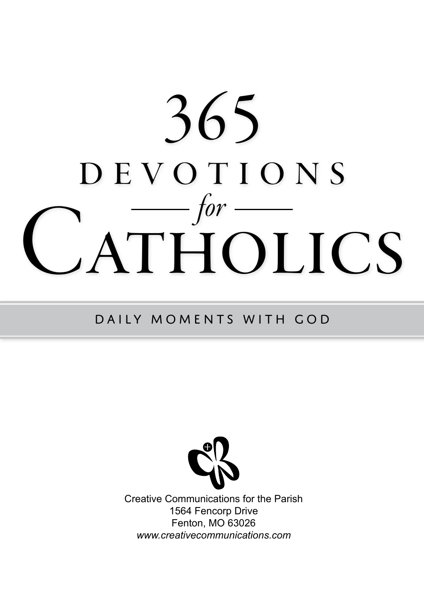# 365 devotions **ATHOLICS** *for*

#### Daily Moments with God



Creative Communications for the Parish 1564 Fencorp Drive Fenton, MO 63026 *www.creativecommunications.com*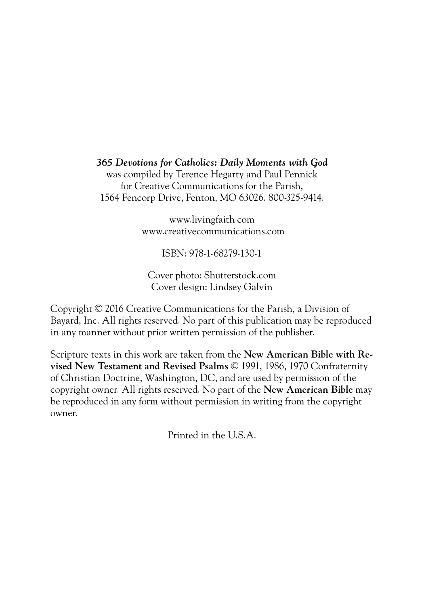#### *365 Devotions for Catholics: Daily Moments with God*

was compiled by Terence Hegarty and Paul Pennick for Creative Communications for the Parish, 1564 Fencorp Drive, Fenton, MO 63026. 800-325-9414.

> www.livingfaith.com www.creativecommunications.com

> > ISBN: 978-1-68279-130-1

Cover photo: Shutterstock.com Cover design: Lindsey Galvin

Copyright © 2016 Creative Communications for the Parish, a Division of Bayard, Inc. All rights reserved. No part of this publication may be reproduced in any manner without prior written permission of the publisher.

Scripture texts in this work are taken from the **New American Bible with Revised New Testament and Revised Psalms** © 1991, 1986, 1970 Confraternity of Christian Doctrine, Washington, DC, and are used by permission of the copyright owner. All rights reserved. No part of the **New American Bible** may be reproduced in any form without permission in writing from the copyright owner.

Printed in the U.S.A.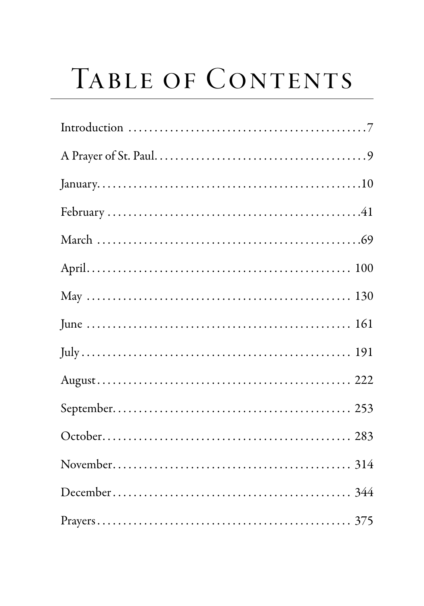## TABLE OF CONTENTS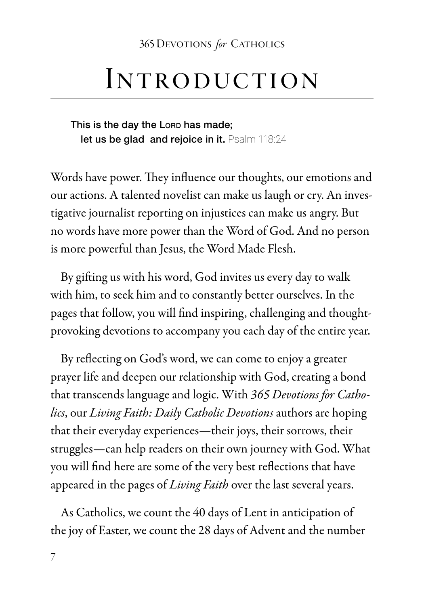#### Introduction

This is the day the Lorp has made; let us be glad and rejoice in it. Psalm 118:24

Words have power. They influence our thoughts, our emotions and our actions. A talented novelist can make us laugh or cry. An investigative journalist reporting on injustices can make us angry. But no words have more power than the Word of God. And no person is more powerful than Jesus, the Word Made Flesh.

By gifting us with his word, God invites us every day to walk with him, to seek him and to constantly better ourselves. In the pages that follow, you will find inspiring, challenging and thoughtprovoking devotions to accompany you each day of the entire year.

By reflecting on God's word, we can come to enjoy a greater prayer life and deepen our relationship with God, creating a bond that transcends language and logic. With *365 Devotions for Catholics*, our *Living Faith: Daily Catholic Devotions* authors are hoping that their everyday experiences—their joys, their sorrows, their struggles—can help readers on their own journey with God. What you will find here are some of the very best reflections that have appeared in the pages of *Living Faith* over the last several years.

As Catholics, we count the 40 days of Lent in anticipation of the joy of Easter, we count the 28 days of Advent and the number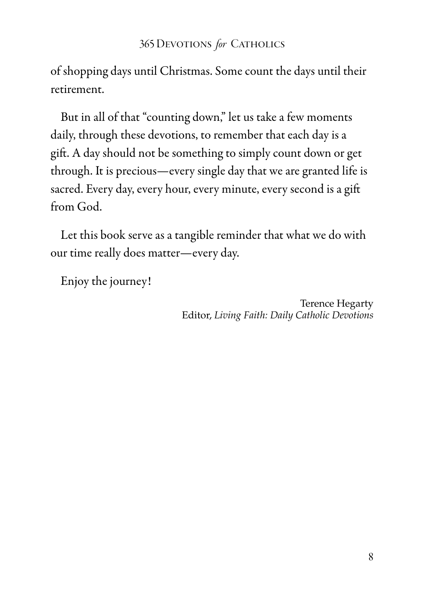of shopping days until Christmas. Some count the days until their retirement.

But in all of that "counting down," let us take a few moments daily, through these devotions, to remember that each day is a gift. A day should not be something to simply count down or get through. It is precious—every single day that we are granted life is sacred. Every day, every hour, every minute, every second is a gift from God.

Let this book serve as a tangible reminder that what we do with our time really does matter—every day.

Enjoy the journey!

Terence Hegarty Editor, *Living Faith: Daily Catholic Devotions*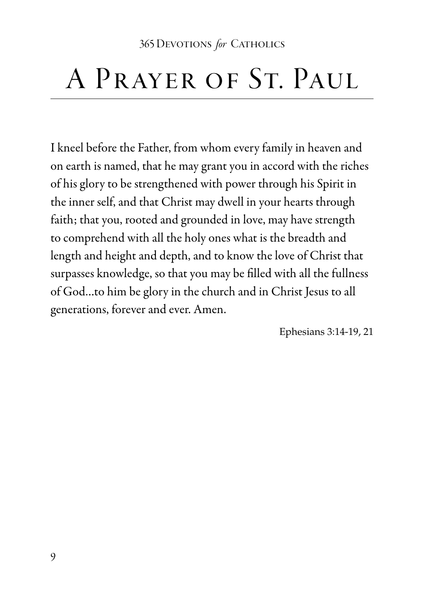#### A PRAYER OF ST. PAUL

I kneel before the Father, from whom every family in heaven and on earth is named, that he may grant you in accord with the riches of his glory to be strengthened with power through his Spirit in the inner self, and that Christ may dwell in your hearts through faith; that you, rooted and grounded in love, may have strength to comprehend with all the holy ones what is the breadth and length and height and depth, and to know the love of Christ that surpasses knowledge, so that you may be filled with all the fullness of God…to him be glory in the church and in Christ Jesus to all generations, forever and ever. Amen.

Ephesians 3:14-19, 21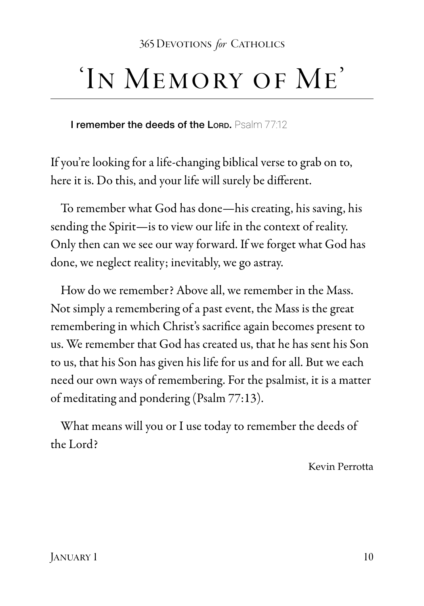### 'In Memory of Me'

I remember the deeds of the Lord. Psalm 77:12

If you're looking for a life-changing biblical verse to grab on to, here it is. Do this, and your life will surely be different.

To remember what God has done—his creating, his saving, his sending the Spirit—is to view our life in the context of reality. Only then can we see our way forward. If we forget what God has done, we neglect reality; inevitably, we go astray.

How do we remember? Above all, we remember in the Mass. Not simply a remembering of a past event, the Mass is the great remembering in which Christ's sacrifice again becomes present to us. We remember that God has created us, that he has sent his Son to us, that his Son has given his life for us and for all. But we each need our own ways of remembering. For the psalmist, it is a matter of meditating and pondering (Psalm 77:13).

What means will you or I use today to remember the deeds of the Lord?

Kevin Perrotta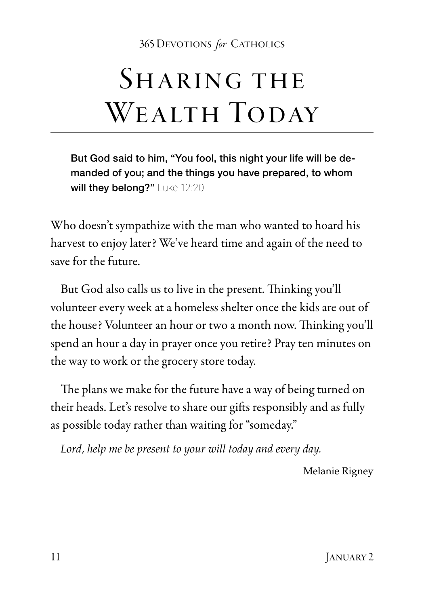#### SHARING THE WEALTH TODAY

But God said to him, "You fool, this night your life will be demanded of you; and the things you have prepared, to whom will they belong?" Luke 12:20

Who doesn't sympathize with the man who wanted to hoard his harvest to enjoy later? We've heard time and again of the need to save for the future.

But God also calls us to live in the present. Thinking you'll volunteer every week at a homeless shelter once the kids are out of the house? Volunteer an hour or two a month now. Thinking you'll spend an hour a day in prayer once you retire? Pray ten minutes on the way to work or the grocery store today.

The plans we make for the future have a way of being turned on their heads. Let's resolve to share our gifts responsibly and as fully as possible today rather than waiting for "someday."

*Lord, help me be present to your will today and every day.*

Melanie Rigney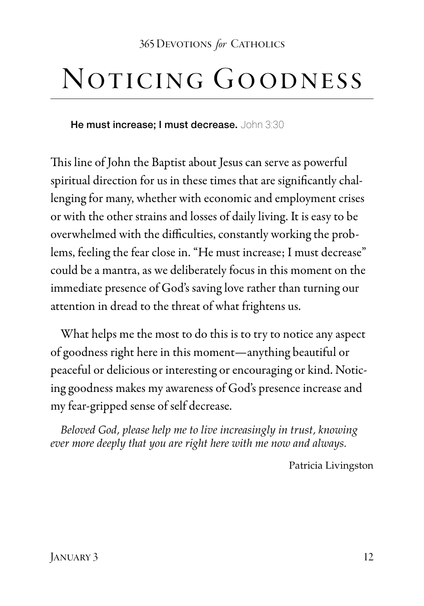#### Noticing Goodness

He must increase: I must decrease. John 3:30

This line of John the Baptist about Jesus can serve as powerful spiritual direction for us in these times that are significantly challenging for many, whether with economic and employment crises or with the other strains and losses of daily living. It is easy to be overwhelmed with the difficulties, constantly working the problems, feeling the fear close in. "He must increase; I must decrease" could be a mantra, as we deliberately focus in this moment on the immediate presence of God's saving love rather than turning our attention in dread to the threat of what frightens us.

What helps me the most to do this is to try to notice any aspect of goodness right here in this moment—anything beautiful or peaceful or delicious or interesting or encouraging or kind. Noticing goodness makes my awareness of God's presence increase and my fear-gripped sense of self decrease.

*Beloved God, please help me to live increasingly in trust, knowing ever more deeply that you are right here with me now and always.* 

Patricia Livingston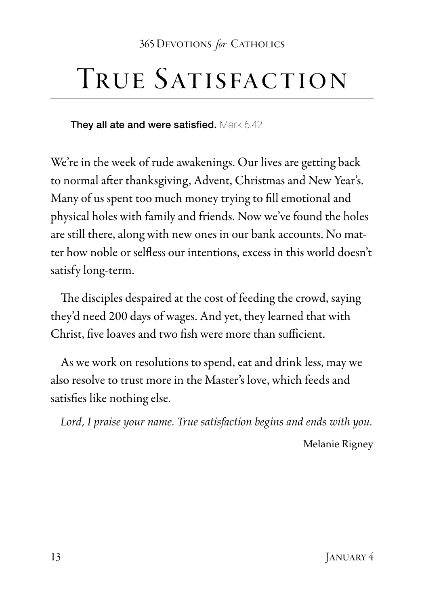#### TRUE SATISFACTION

They all ate and were satisfied. Mark 6:42

We're in the week of rude awakenings. Our lives are getting back to normal after thanksgiving, Advent, Christmas and New Year's. Many of us spent too much money trying to fill emotional and physical holes with family and friends. Now we've found the holes are still there, along with new ones in our bank accounts. No matter how noble or selfless our intentions, excess in this world doesn't satisfy long-term.

The disciples despaired at the cost of feeding the crowd, saying they'd need 200 days of wages. And yet, they learned that with Christ, five loaves and two fish were more than sufficient.

As we work on resolutions to spend, eat and drink less, may we also resolve to trust more in the Master's love, which feeds and satisfies like nothing else.

*Lord, I praise your name. True satisfaction begins and ends with you.*

Melanie Rigney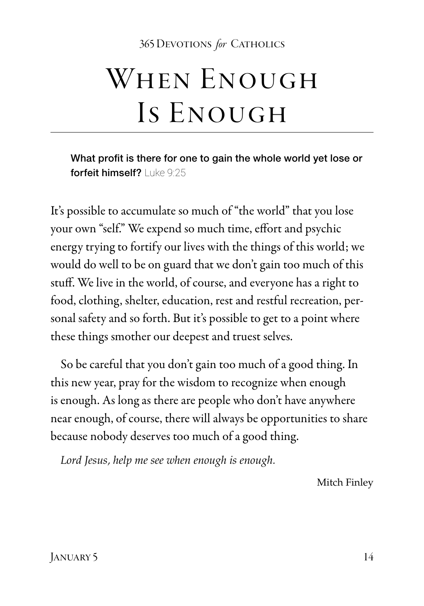## WHEN ENOUGH Is Enough

What profit is there for one to gain the whole world yet lose or forfeit himself? Luke 9:25

It's possible to accumulate so much of "the world" that you lose your own "self." We expend so much time, effort and psychic energy trying to fortify our lives with the things of this world; we would do well to be on guard that we don't gain too much of this stuff. We live in the world, of course, and everyone has a right to food, clothing, shelter, education, rest and restful recreation, personal safety and so forth. But it's possible to get to a point where these things smother our deepest and truest selves.

So be careful that you don't gain too much of a good thing. In this new year, pray for the wisdom to recognize when enough is enough. As long as there are people who don't have anywhere near enough, of course, there will always be opportunities to share because nobody deserves too much of a good thing.

*Lord Jesus, help me see when enough is enough.*

Mitch Finley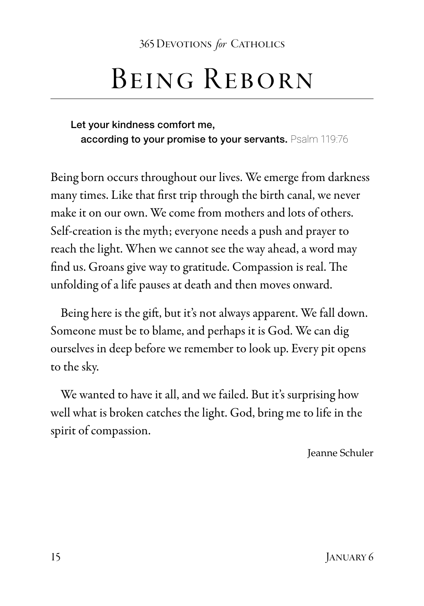#### Being Reborn

Let your kindness comfort me, according to your promise to your servants. Psalm 119:76

Being born occurs throughout our lives. We emerge from darkness many times. Like that first trip through the birth canal, we never make it on our own. We come from mothers and lots of others. Self-creation is the myth; everyone needs a push and prayer to reach the light. When we cannot see the way ahead, a word may find us. Groans give way to gratitude. Compassion is real. The unfolding of a life pauses at death and then moves onward.

Being here is the gift, but it's not always apparent. We fall down. Someone must be to blame, and perhaps it is God. We can dig ourselves in deep before we remember to look up. Every pit opens to the sky.

We wanted to have it all, and we failed. But it's surprising how well what is broken catches the light. God, bring me to life in the spirit of compassion.

Jeanne Schuler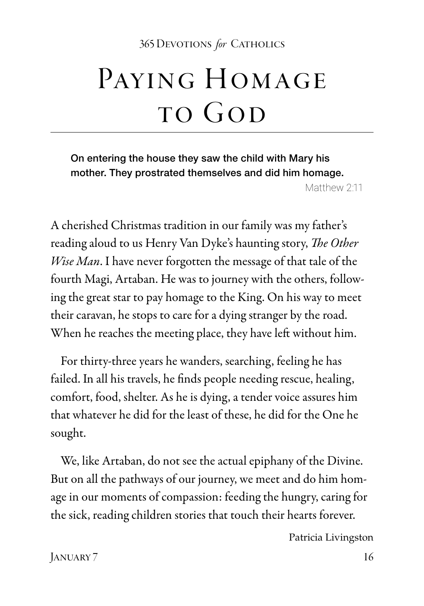## PAYING HOMAGE to God

On entering the house they saw the child with Mary his mother. They prostrated themselves and did him homage. Matthew 2:11

A cherished Christmas tradition in our family was my father's reading aloud to us Henry Van Dyke's haunting story, *The Other Wise Man*. I have never forgotten the message of that tale of the fourth Magi, Artaban. He was to journey with the others, following the great star to pay homage to the King. On his way to meet their caravan, he stops to care for a dying stranger by the road. When he reaches the meeting place, they have left without him.

For thirty-three years he wanders, searching, feeling he has failed. In all his travels, he finds people needing rescue, healing, comfort, food, shelter. As he is dying, a tender voice assures him that whatever he did for the least of these, he did for the One he sought.

We, like Artaban, do not see the actual epiphany of the Divine. But on all the pathways of our journey, we meet and do him homage in our moments of compassion: feeding the hungry, caring for the sick, reading children stories that touch their hearts forever.

Patricia Livingston

January 7 16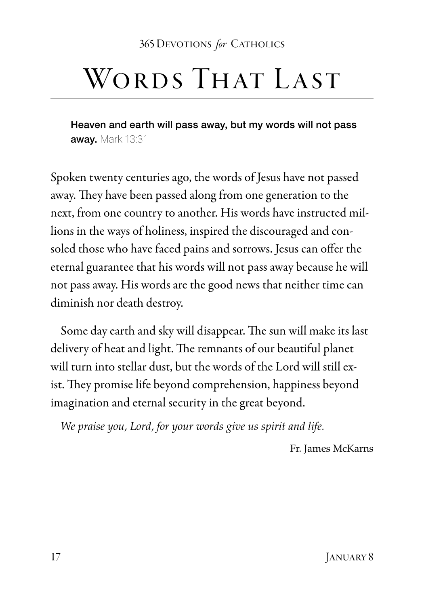### WORDS THAT LAST

Heaven and earth will pass away, but my words will not pass away. Mark 13:31

Spoken twenty centuries ago, the words of Jesus have not passed away. They have been passed along from one generation to the next, from one country to another. His words have instructed millions in the ways of holiness, inspired the discouraged and consoled those who have faced pains and sorrows. Jesus can offer the eternal guarantee that his words will not pass away because he will not pass away. His words are the good news that neither time can diminish nor death destroy.

Some day earth and sky will disappear. The sun will make its last delivery of heat and light. The remnants of our beautiful planet will turn into stellar dust, but the words of the Lord will still exist. They promise life beyond comprehension, happiness beyond imagination and eternal security in the great beyond.

*We praise you, Lord, for your words give us spirit and life.*

Fr. James McKarns